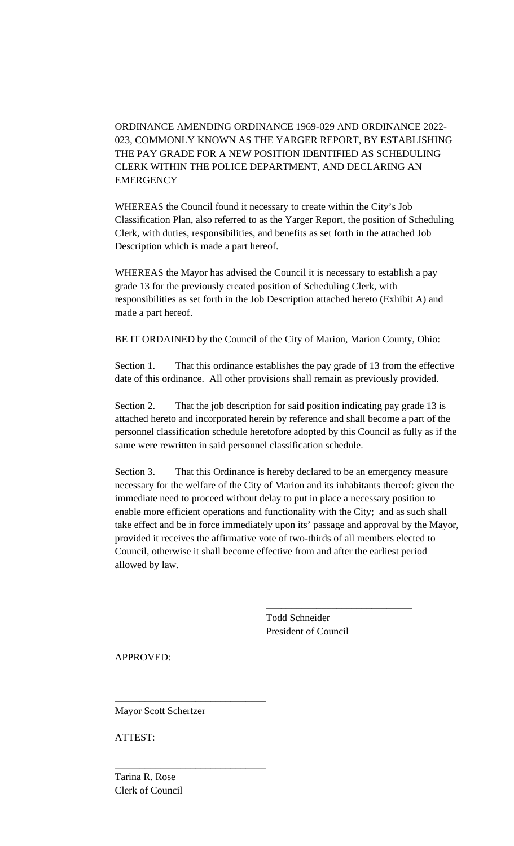ORDINANCE AMENDING ORDINANCE 1969-029 AND ORDINANCE 2022- 023, COMMONLY KNOWN AS THE YARGER REPORT, BY ESTABLISHING THE PAY GRADE FOR A NEW POSITION IDENTIFIED AS SCHEDULING CLERK WITHIN THE POLICE DEPARTMENT, AND DECLARING AN **EMERGENCY** 

WHEREAS the Council found it necessary to create within the City's Job Classification Plan, also referred to as the Yarger Report, the position of Scheduling Clerk, with duties, responsibilities, and benefits as set forth in the attached Job Description which is made a part hereof.

WHEREAS the Mayor has advised the Council it is necessary to establish a pay grade 13 for the previously created position of Scheduling Clerk, with responsibilities as set forth in the Job Description attached hereto (Exhibit A) and made a part hereof.

BE IT ORDAINED by the Council of the City of Marion, Marion County, Ohio:

Section 1. That this ordinance establishes the pay grade of 13 from the effective date of this ordinance. All other provisions shall remain as previously provided.

Section 2. That the job description for said position indicating pay grade 13 is attached hereto and incorporated herein by reference and shall become a part of the personnel classification schedule heretofore adopted by this Council as fully as if the same were rewritten in said personnel classification schedule.

Section 3. That this Ordinance is hereby declared to be an emergency measure necessary for the welfare of the City of Marion and its inhabitants thereof: given the immediate need to proceed without delay to put in place a necessary position to enable more efficient operations and functionality with the City; and as such shall take effect and be in force immediately upon its' passage and approval by the Mayor, provided it receives the affirmative vote of two-thirds of all members elected to Council, otherwise it shall become effective from and after the earliest period allowed by law.

> Todd Schneider President of Council

\_\_\_\_\_\_\_\_\_\_\_\_\_\_\_\_\_\_\_\_\_\_\_\_\_\_\_\_\_

APPROVED:

Mayor Scott Schertzer

\_\_\_\_\_\_\_\_\_\_\_\_\_\_\_\_\_\_\_\_\_\_\_\_\_\_\_\_\_\_

\_\_\_\_\_\_\_\_\_\_\_\_\_\_\_\_\_\_\_\_\_\_\_\_\_\_\_\_\_\_

ATTEST:

Tarina R. Rose Clerk of Council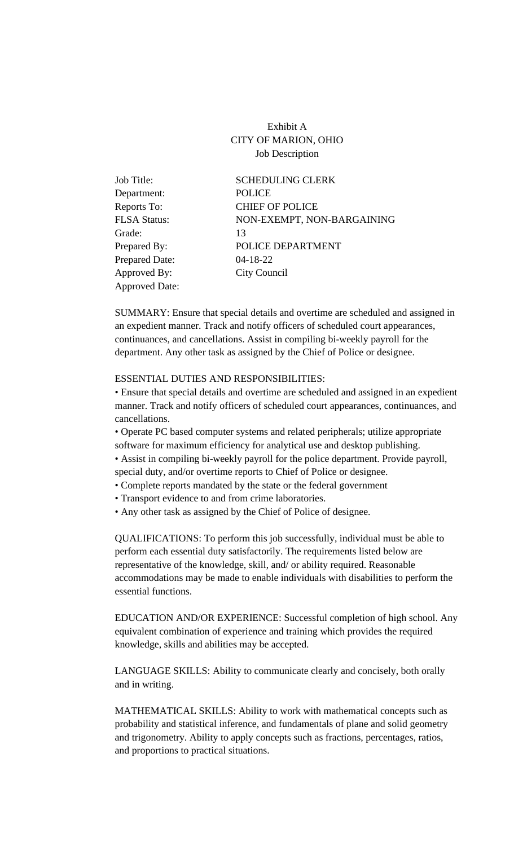Exhibit A CITY OF MARION, OHIO Job Description

| Job Title:            | <b>SCHEDULING CLERK</b>    |
|-----------------------|----------------------------|
| Department:           | <b>POLICE</b>              |
| Reports To:           | <b>CHIEF OF POLICE</b>     |
| <b>FLSA Status:</b>   | NON-EXEMPT, NON-BARGAINING |
| Grade:                | 13                         |
| Prepared By:          | POLICE DEPARTMENT          |
| <b>Prepared Date:</b> | $04 - 18 - 22$             |
| Approved By:          | City Council               |
| <b>Approved Date:</b> |                            |

SUMMARY: Ensure that special details and overtime are scheduled and assigned in an expedient manner. Track and notify officers of scheduled court appearances, continuances, and cancellations. Assist in compiling bi-weekly payroll for the department. Any other task as assigned by the Chief of Police or designee.

## ESSENTIAL DUTIES AND RESPONSIBILITIES:

• Ensure that special details and overtime are scheduled and assigned in an expedient manner. Track and notify officers of scheduled court appearances, continuances, and cancellations.

• Operate PC based computer systems and related peripherals; utilize appropriate software for maximum efficiency for analytical use and desktop publishing. • Assist in compiling bi-weekly payroll for the police department. Provide payroll, special duty, and/or overtime reports to Chief of Police or designee.

• Complete reports mandated by the state or the federal government

• Transport evidence to and from crime laboratories.

• Any other task as assigned by the Chief of Police of designee.

QUALIFICATIONS: To perform this job successfully, individual must be able to perform each essential duty satisfactorily. The requirements listed below are representative of the knowledge, skill, and/ or ability required. Reasonable accommodations may be made to enable individuals with disabilities to perform the essential functions.

EDUCATION AND/OR EXPERIENCE: Successful completion of high school. Any equivalent combination of experience and training which provides the required knowledge, skills and abilities may be accepted.

LANGUAGE SKILLS: Ability to communicate clearly and concisely, both orally and in writing.

MATHEMATICAL SKILLS: Ability to work with mathematical concepts such as probability and statistical inference, and fundamentals of plane and solid geometry and trigonometry. Ability to apply concepts such as fractions, percentages, ratios, and proportions to practical situations.